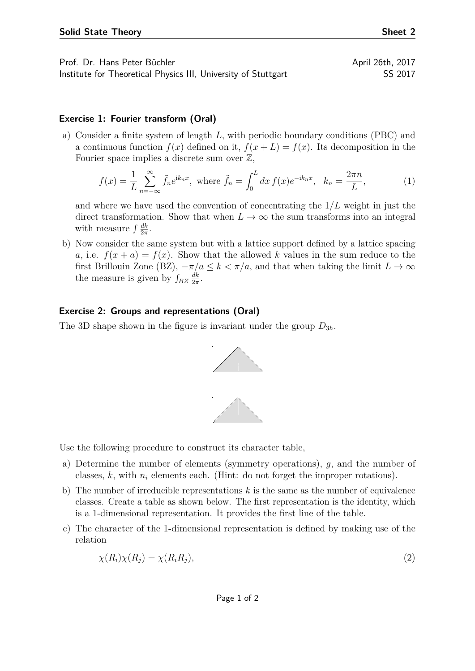Prof. Dr. Hans Peter Büchler April 26th, 2017

Institute for Theoretical Physics III, University of Stuttgart SS 2017

## **Exercise 1: Fourier transform (Oral)**

a) Consider a finite system of length *L*, with periodic boundary conditions (PBC) and a continuous function  $f(x)$  defined on it,  $f(x+L) = f(x)$ . Its decomposition in the Fourier space implies a discrete sum over  $\mathbb{Z}$ ,

$$
f(x) = \frac{1}{L} \sum_{n = -\infty}^{\infty} \tilde{f}_n e^{ik_n x}, \text{ where } \tilde{f}_n = \int_0^L dx f(x) e^{-ik_n x}, \quad k_n = \frac{2\pi n}{L},
$$
 (1)

and where we have used the convention of concentrating the 1*/L* weight in just the direct transformation. Show that when  $L \to \infty$  the sum transforms into an integral with measure  $\int \frac{dk}{2\pi}$  $\frac{dk}{2\pi}$ .

b) Now consider the same system but with a lattice support defined by a lattice spacing *a*, i.e.  $f(x+a) = f(x)$ . Show that the allowed *k* values in the sum reduce to the first Brillouin Zone (BZ),  $-\pi/a \leq k < \pi/a$ , and that when taking the limit  $L \to \infty$ the measure is given by  $\int_{BZ} \frac{dk}{2\pi}$  $\frac{dk}{2\pi}$ .

## **Exercise 2: Groups and representations (Oral)**

The 3D shape shown in the figure is invariant under the group *D*3*<sup>h</sup>*.



Use the following procedure to construct its character table,

- a) Determine the number of elements (symmetry operations), *g*, and the number of classes,  $k$ , with  $n_i$  elements each. (Hint: do not forget the improper rotations).
- b) The number of irreducible representations *k* is the same as the number of equivalence classes. Create a table as shown below. The first representation is the identity, which is a 1-dimensional representation. It provides the first line of the table.
- c) The character of the 1-dimensional representation is defined by making use of the relation

$$
\chi(R_i)\chi(R_j) = \chi(R_iR_j),\tag{2}
$$